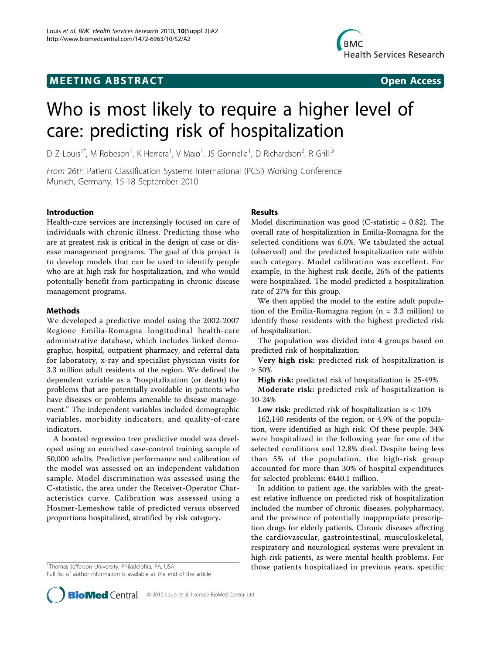## **MEETING ABSTRACT CONSUMING ABSTRACT**



# Who is most likely to require a higher level of care: predicting risk of hospitalization

D Z Louis<sup>1\*</sup>, M Robeson<sup>1</sup>, K Herrera<sup>1</sup>, V Maio<sup>1</sup>, JS Gonnella<sup>1</sup>, D Richardson<sup>2</sup>, R Grilli<sup>3</sup>

From 26th Patient Classification Systems International (PCSI) Working Conference Munich, Germany. 15-18 September 2010

### Introduction

Health-care services are increasingly focused on care of individuals with chronic illness. Predicting those who are at greatest risk is critical in the design of case or disease management programs. The goal of this project is to develop models that can be used to identify people who are at high risk for hospitalization, and who would potentially benefit from participating in chronic disease management programs.

#### Methods

We developed a predictive model using the 2002-2007 Regione Emilia-Romagna longitudinal health-care administrative database, which includes linked demographic, hospital, outpatient pharmacy, and referral data for laboratory, x-ray and specialist physician visits for 3.3 million adult residents of the region. We defined the dependent variable as a "hospitalization (or death) for problems that are potentially avoidable in patients who have diseases or problems amenable to disease management." The independent variables included demographic variables, morbidity indicators, and quality-of-care indicators.

A boosted regression tree predictive model was developed using an enriched case-control training sample of 50,000 adults. Predictive performance and calibration of the model was assessed on an independent validation sample. Model discrimination was assessed using the C-statistic, the area under the Receiver-Operator Characteristics curve. Calibration was assessed using a Hosmer-Lemeshow table of predicted versus observed proportions hospitalized, stratified by risk category.

<sup>1</sup>Thomas Jefferson University, Philadelphia, PA, USA

Full list of author information is available at the end of the article

#### Results

Model discrimination was good (C-statistic  $= 0.82$ ). The overall rate of hospitalization in Emilia-Romagna for the selected conditions was 6.0%. We tabulated the actual (observed) and the predicted hospitalization rate within each category. Model calibration was excellent. For example, in the highest risk decile, 26% of the patients were hospitalized. The model predicted a hospitalization rate of 27% for this group.

We then applied the model to the entire adult population of the Emilia-Romagna region (n = 3.3 million) to identify those residents with the highest predicted risk of hospitalization.

The population was divided into 4 groups based on predicted risk of hospitalization:

Very high risk: predicted risk of hospitalization is ≥ 50%

High risk: predicted risk of hospitalization is 25-49%

Moderate risk: predicted risk of hospitalization is 10-24%

Low risk: predicted risk of hospitalization is < 10%

162,140 residents of the region, or 4.9% of the population, were identified as high risk. Of these people, 34% were hospitalized in the following year for one of the selected conditions and 12.8% died. Despite being less than 5% of the population, the high-risk group accounted for more than 30% of hospital expenditures for selected problems: €440.1 million.

In addition to patient age, the variables with the greatest relative influence on predicted risk of hospitalization included the number of chronic diseases, polypharmacy, and the presence of potentially inappropriate prescription drugs for elderly patients. Chronic diseases affecting the cardiovascular, gastrointestinal, musculoskeletal, respiratory and neurological systems were prevalent in high-risk patients, as were mental health problems. For those patients hospitalized in previous years, specific <sup>1</sup>